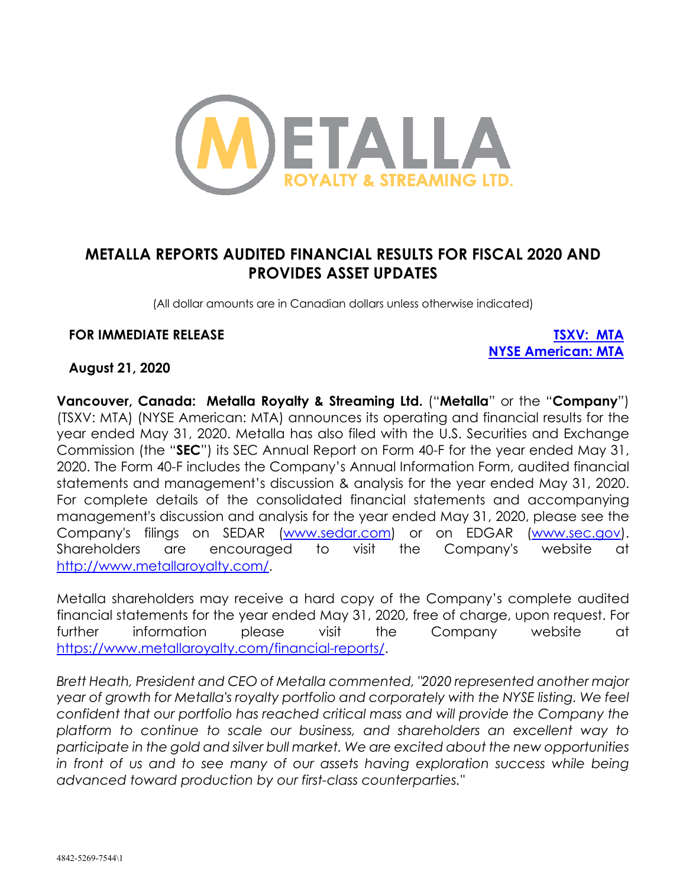

# **METALLA REPORTS AUDITED FINANCIAL RESULTS FOR FISCAL 2020 AND PROVIDES ASSET UPDATES**

(All dollar amounts are in Canadian dollars unless otherwise indicated)

#### **FOR IMMEDIATE RELEASE TSXV: MTA**

**NYSE American: MTA**

#### **August 21, 2020**

**Vancouver, Canada: Metalla Royalty & Streaming Ltd.** ("**Metalla**" or the "**Company**") (TSXV: MTA) (NYSE American: MTA) announces its operating and financial results for the year ended May 31, 2020. Metalla has also filed with the U.S. Securities and Exchange Commission (the "**SEC**") its SEC Annual Report on Form 40-F for the year ended May 31, 2020. The Form 40-F includes the Company's Annual Information Form, audited financial statements and management's discussion & analysis for the year ended May 31, 2020. For complete details of the consolidated financial statements and accompanying management's discussion and analysis for the year ended May 31, 2020, please see the Company's filings on SEDAR (www.sedar.com) or on EDGAR (www.sec.gov). Shareholders are encouraged to visit the Company's website at http://www.metallaroyalty.com/.

Metalla shareholders may receive a hard copy of the Company's complete audited financial statements for the year ended May 31, 2020, free of charge, upon request. For further information please visit the Company website at https://www.metallaroyalty.com/financial-reports/.

*Brett Heath, President and CEO of Metalla commented, "2020 represented another major year of growth for Metalla's royalty portfolio and corporately with the NYSE listing. We feel confident that our portfolio has reached critical mass and will provide the Company the platform to continue to scale our business, and shareholders an excellent way to participate in the gold and silver bull market. We are excited about the new opportunities in front of us and to see many of our assets having exploration success while being advanced toward production by our first-class counterparties."*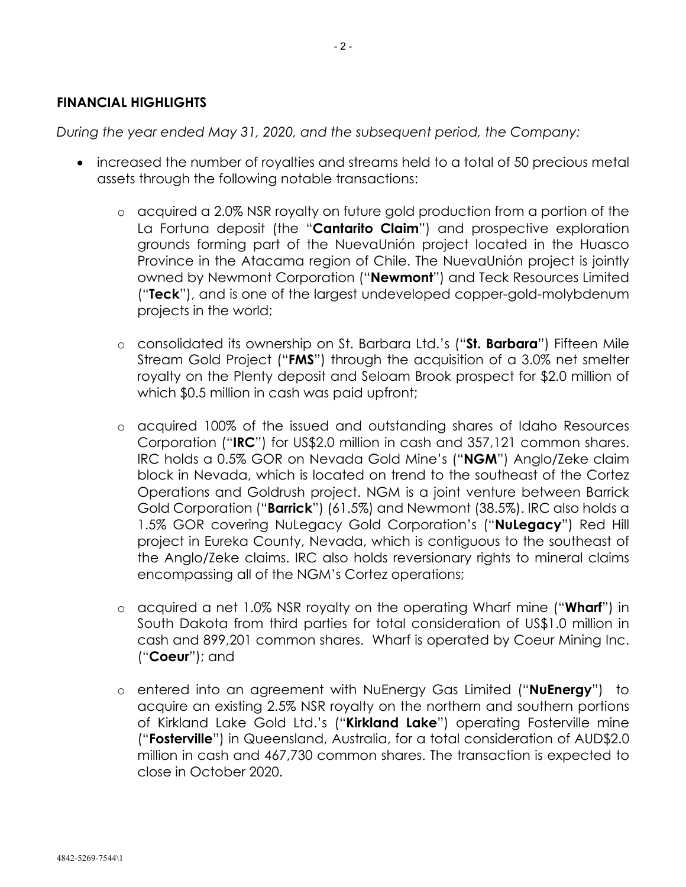#### **FINANCIAL HIGHLIGHTS**

*During the year ended May 31, 2020, and the subsequent period, the Company:*

- increased the number of royalties and streams held to a total of 50 precious metal assets through the following notable transactions:
	- o acquired a 2.0% NSR royalty on future gold production from a portion of the La Fortuna deposit (the "**Cantarito Claim**") and prospective exploration grounds forming part of the NuevaUnión project located in the Huasco Province in the Atacama region of Chile. The NuevaUnión project is jointly owned by Newmont Corporation ("**Newmont**") and Teck Resources Limited ("**Teck**"), and is one of the largest undeveloped copper-gold-molybdenum projects in the world;
	- o consolidated its ownership on St. Barbara Ltd.'s ("**St. Barbara**") Fifteen Mile Stream Gold Project ("**FMS**") through the acquisition of a 3.0% net smelter royalty on the Plenty deposit and Seloam Brook prospect for \$2.0 million of which \$0.5 million in cash was paid upfront;
	- o acquired 100% of the issued and outstanding shares of Idaho Resources Corporation ("**IRC**") for US\$2.0 million in cash and 357,121 common shares. IRC holds a 0.5% GOR on Nevada Gold Mine's ("**NGM**") Anglo/Zeke claim block in Nevada, which is located on trend to the southeast of the Cortez Operations and Goldrush project. NGM is a joint venture between Barrick Gold Corporation ("**Barrick**") (61.5%) and Newmont (38.5%). IRC also holds a 1.5% GOR covering NuLegacy Gold Corporation's ("**NuLegacy**") Red Hill project in Eureka County, Nevada, which is contiguous to the southeast of the Anglo/Zeke claims. IRC also holds reversionary rights to mineral claims encompassing all of the NGM's Cortez operations;
	- o acquired a net 1.0% NSR royalty on the operating Wharf mine ("**Wharf**") in South Dakota from third parties for total consideration of US\$1.0 million in cash and 899,201 common shares. Wharf is operated by Coeur Mining Inc. ("**Coeur**"); and
	- o entered into an agreement with NuEnergy Gas Limited ("**NuEnergy**") to acquire an existing 2.5% NSR royalty on the northern and southern portions of Kirkland Lake Gold Ltd.'s ("**Kirkland Lake**") operating Fosterville mine ("**Fosterville**") in Queensland, Australia, for a total consideration of AUD\$2.0 million in cash and 467,730 common shares. The transaction is expected to close in October 2020.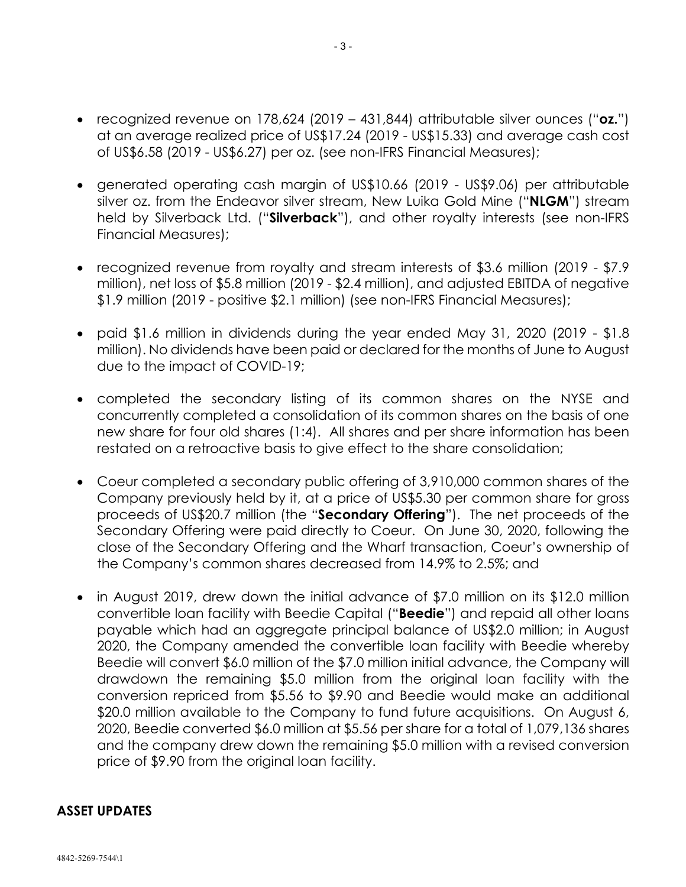- recognized revenue on 178,624 (2019 431,844) attributable silver ounces ("**oz.**") at an average realized price of US\$17.24 (2019 - US\$15.33) and average cash cost of US\$6.58 (2019 - US\$6.27) per oz. (see non-IFRS Financial Measures);
- generated operating cash margin of US\$10.66 (2019 US\$9.06) per attributable silver oz. from the Endeavor silver stream, New Luika Gold Mine ("**NLGM**") stream held by Silverback Ltd. ("**Silverback**"), and other royalty interests (see non-IFRS Financial Measures);
- recognized revenue from royalty and stream interests of \$3.6 million (2019 \$7.9) million), net loss of \$5.8 million (2019 - \$2.4 million), and adjusted EBITDA of negative \$1.9 million (2019 - positive \$2.1 million) (see non-IFRS Financial Measures);
- paid \$1.6 million in dividends during the year ended May 31, 2020 (2019 \$1.8 million). No dividends have been paid or declared for the months of June to August due to the impact of COVID-19;
- completed the secondary listing of its common shares on the NYSE and concurrently completed a consolidation of its common shares on the basis of one new share for four old shares (1:4). All shares and per share information has been restated on a retroactive basis to give effect to the share consolidation;
- Coeur completed a secondary public offering of 3,910,000 common shares of the Company previously held by it, at a price of US\$5.30 per common share for gross proceeds of US\$20.7 million (the "**Secondary Offering**"). The net proceeds of the Secondary Offering were paid directly to Coeur. On June 30, 2020, following the close of the Secondary Offering and the Wharf transaction, Coeur's ownership of the Company's common shares decreased from 14.9% to 2.5%; and
- in August 2019, drew down the initial advance of \$7.0 million on its \$12.0 million convertible loan facility with Beedie Capital ("**Beedie**") and repaid all other loans payable which had an aggregate principal balance of US\$2.0 million; in August 2020, the Company amended the convertible loan facility with Beedie whereby Beedie will convert \$6.0 million of the \$7.0 million initial advance, the Company will drawdown the remaining \$5.0 million from the original loan facility with the conversion repriced from \$5.56 to \$9.90 and Beedie would make an additional \$20.0 million available to the Company to fund future acquisitions. On August 6, 2020, Beedie converted \$6.0 million at \$5.56 per share for a total of 1,079,136 shares and the company drew down the remaining \$5.0 million with a revised conversion price of \$9.90 from the original loan facility.

### **ASSET UPDATES**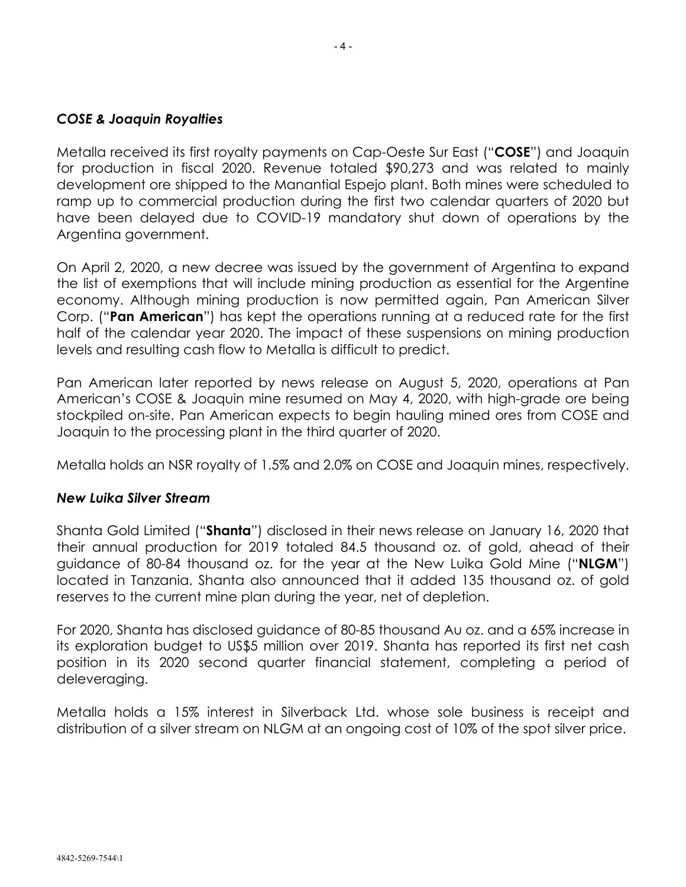## *COSE & Joaquin Royalties*

Metalla received its first royalty payments on Cap-Oeste Sur East ("**COSE**") and Joaquin for production in fiscal 2020. Revenue totaled \$90,273 and was related to mainly development ore shipped to the Manantial Espejo plant. Both mines were scheduled to ramp up to commercial production during the first two calendar quarters of 2020 but have been delayed due to COVID-19 mandatory shut down of operations by the Argentina government.

On April 2, 2020, a new decree was issued by the government of Argentina to expand the list of exemptions that will include mining production as essential for the Argentine economy. Although mining production is now permitted again, Pan American Silver Corp. ("**Pan American**") has kept the operations running at a reduced rate for the first half of the calendar year 2020. The impact of these suspensions on mining production levels and resulting cash flow to Metalla is difficult to predict.

Pan American later reported by news release on August 5, 2020, operations at Pan American's COSE & Joaquin mine resumed on May 4, 2020, with high-grade ore being stockpiled on-site. Pan American expects to begin hauling mined ores from COSE and Joaquin to the processing plant in the third quarter of 2020.

Metalla holds an NSR royalty of 1.5% and 2.0% on COSE and Joaquin mines, respectively.

### *New Luika Silver Stream*

Shanta Gold Limited ("**Shanta**") disclosed in their news release on January 16, 2020 that their annual production for 2019 totaled 84.5 thousand oz. of gold, ahead of their guidance of 80-84 thousand oz. for the year at the New Luika Gold Mine ("**NLGM**") located in Tanzania. Shanta also announced that it added 135 thousand oz. of gold reserves to the current mine plan during the year, net of depletion.

For 2020, Shanta has disclosed guidance of 80-85 thousand Au oz. and a 65% increase in its exploration budget to US\$5 million over 2019. Shanta has reported its first net cash position in its 2020 second quarter financial statement, completing a period of deleveraging.

Metalla holds a 15% interest in Silverback Ltd. whose sole business is receipt and distribution of a silver stream on NLGM at an ongoing cost of 10% of the spot silver price.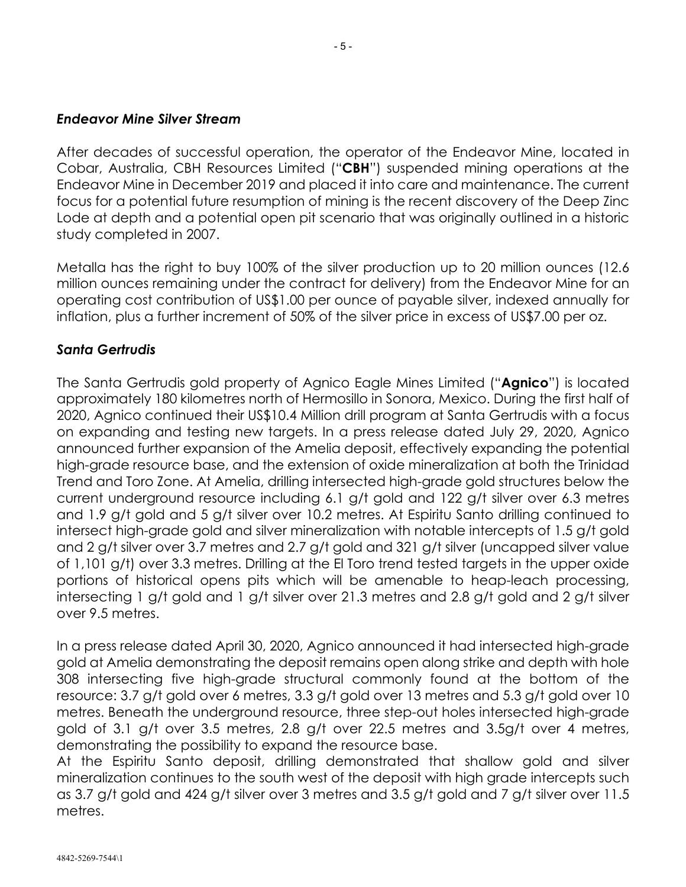#### *Endeavor Mine Silver Stream*

After decades of successful operation, the operator of the Endeavor Mine, located in Cobar, Australia, CBH Resources Limited ("**CBH**") suspended mining operations at the Endeavor Mine in December 2019 and placed it into care and maintenance. The current focus for a potential future resumption of mining is the recent discovery of the Deep Zinc Lode at depth and a potential open pit scenario that was originally outlined in a historic study completed in 2007.

Metalla has the right to buy 100% of the silver production up to 20 million ounces (12.6 million ounces remaining under the contract for delivery) from the Endeavor Mine for an operating cost contribution of US\$1.00 per ounce of payable silver, indexed annually for inflation, plus a further increment of 50% of the silver price in excess of US\$7.00 per oz.

### *Santa Gertrudis*

The Santa Gertrudis gold property of Agnico Eagle Mines Limited ("**Agnico**") is located approximately 180 kilometres north of Hermosillo in Sonora, Mexico. During the first half of 2020, Agnico continued their US\$10.4 Million drill program at Santa Gertrudis with a focus on expanding and testing new targets. In a press release dated July 29, 2020, Agnico announced further expansion of the Amelia deposit, effectively expanding the potential high-grade resource base, and the extension of oxide mineralization at both the Trinidad Trend and Toro Zone. At Amelia, drilling intersected high-grade gold structures below the current underground resource including 6.1 g/t gold and 122 g/t silver over 6.3 metres and 1.9 g/t gold and 5 g/t silver over 10.2 metres. At Espiritu Santo drilling continued to intersect high-grade gold and silver mineralization with notable intercepts of 1.5 g/t gold and 2 g/t silver over 3.7 metres and 2.7 g/t gold and 321 g/t silver (uncapped silver value of 1,101 g/t) over 3.3 metres. Drilling at the El Toro trend tested targets in the upper oxide portions of historical opens pits which will be amenable to heap-leach processing, intersecting 1 g/t gold and 1 g/t silver over 21.3 metres and 2.8 g/t gold and 2 g/t silver over 9.5 metres.

In a press release dated April 30, 2020, Agnico announced it had intersected high-grade gold at Amelia demonstrating the deposit remains open along strike and depth with hole 308 intersecting five high-grade structural commonly found at the bottom of the resource: 3.7 g/t gold over 6 metres, 3.3 g/t gold over 13 metres and 5.3 g/t gold over 10 metres. Beneath the underground resource, three step-out holes intersected high-grade gold of 3.1 g/t over 3.5 metres, 2.8 g/t over 22.5 metres and 3.5g/t over 4 metres, demonstrating the possibility to expand the resource base.

At the Espiritu Santo deposit, drilling demonstrated that shallow gold and silver mineralization continues to the south west of the deposit with high grade intercepts such as 3.7 g/t gold and 424 g/t silver over 3 metres and 3.5 g/t gold and 7 g/t silver over 11.5 metres.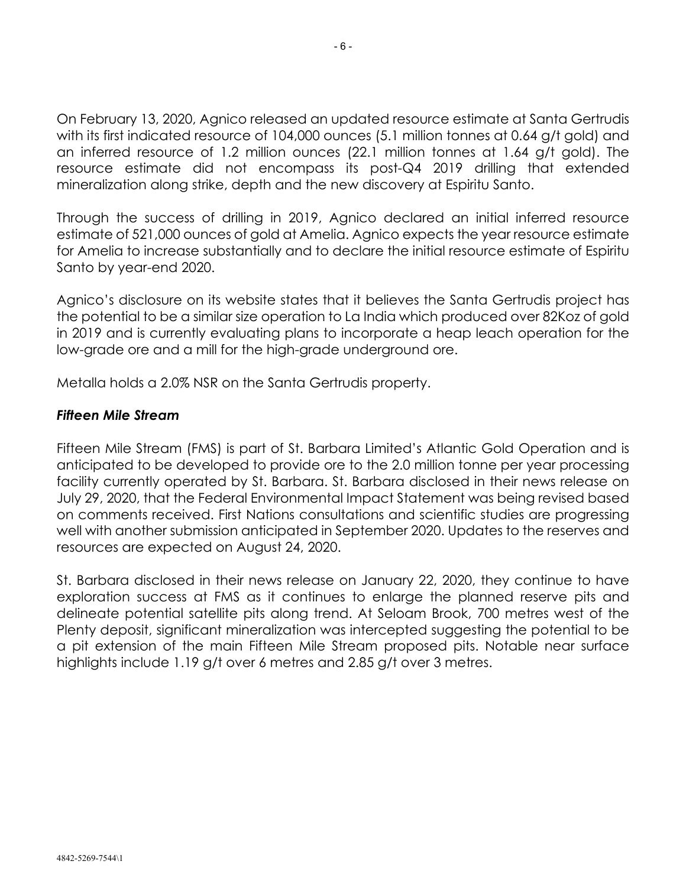On February 13, 2020, Agnico released an updated resource estimate at Santa Gertrudis with its first indicated resource of 104,000 ounces (5.1 million tonnes at 0.64 g/t gold) and an inferred resource of 1.2 million ounces (22.1 million tonnes at 1.64 g/t gold). The resource estimate did not encompass its post-Q4 2019 drilling that extended mineralization along strike, depth and the new discovery at Espiritu Santo.

Through the success of drilling in 2019, Agnico declared an initial inferred resource estimate of 521,000 ounces of gold at Amelia. Agnico expects the year resource estimate for Amelia to increase substantially and to declare the initial resource estimate of Espiritu Santo by year-end 2020.

Agnico's disclosure on its website states that it believes the Santa Gertrudis project has the potential to be a similar size operation to La India which produced over 82Koz of gold in 2019 and is currently evaluating plans to incorporate a heap leach operation for the low-grade ore and a mill for the high-grade underground ore.

Metalla holds a 2.0% NSR on the Santa Gertrudis property.

## *Fifteen Mile Stream*

Fifteen Mile Stream (FMS) is part of St. Barbara Limited's Atlantic Gold Operation and is anticipated to be developed to provide ore to the 2.0 million tonne per year processing facility currently operated by St. Barbara. St. Barbara disclosed in their news release on July 29, 2020, that the Federal Environmental Impact Statement was being revised based on comments received. First Nations consultations and scientific studies are progressing well with another submission anticipated in September 2020. Updates to the reserves and resources are expected on August 24, 2020.

St. Barbara disclosed in their news release on January 22, 2020, they continue to have exploration success at FMS as it continues to enlarge the planned reserve pits and delineate potential satellite pits along trend. At Seloam Brook, 700 metres west of the Plenty deposit, significant mineralization was intercepted suggesting the potential to be a pit extension of the main Fifteen Mile Stream proposed pits. Notable near surface highlights include 1.19 g/t over 6 metres and 2.85 g/t over 3 metres.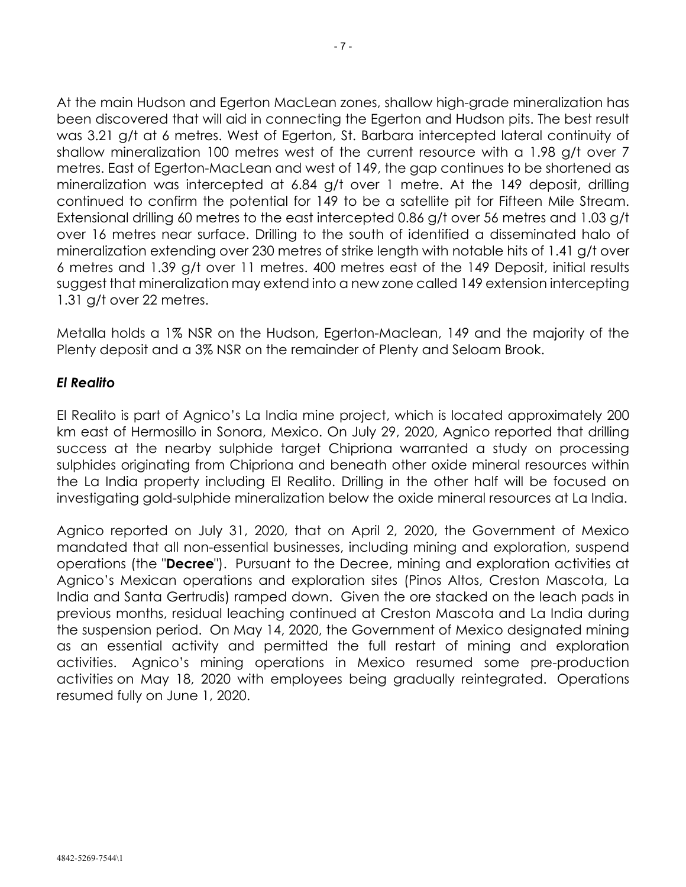At the main Hudson and Egerton MacLean zones, shallow high-grade mineralization has been discovered that will aid in connecting the Egerton and Hudson pits. The best result was 3.21 g/t at 6 metres. West of Egerton, St. Barbara intercepted lateral continuity of shallow mineralization 100 metres west of the current resource with a 1.98 g/t over 7 metres. East of Egerton-MacLean and west of 149, the gap continues to be shortened as mineralization was intercepted at 6.84 g/t over 1 metre. At the 149 deposit, drilling continued to confirm the potential for 149 to be a satellite pit for Fifteen Mile Stream. Extensional drilling 60 metres to the east intercepted 0.86 g/t over 56 metres and 1.03 g/t over 16 metres near surface. Drilling to the south of identified a disseminated halo of mineralization extending over 230 metres of strike length with notable hits of 1.41 g/t over 6 metres and 1.39 g/t over 11 metres. 400 metres east of the 149 Deposit, initial results suggest that mineralization may extend into a new zone called 149 extension intercepting 1.31 g/t over 22 metres.

Metalla holds a 1% NSR on the Hudson, Egerton-Maclean, 149 and the majority of the Plenty deposit and a 3% NSR on the remainder of Plenty and Seloam Brook.

## *El Realito*

El Realito is part of Agnico's La India mine project, which is located approximately 200 km east of Hermosillo in Sonora, Mexico. On July 29, 2020, Agnico reported that drilling success at the nearby sulphide target Chipriona warranted a study on processing sulphides originating from Chipriona and beneath other oxide mineral resources within the La India property including El Realito. Drilling in the other half will be focused on investigating gold-sulphide mineralization below the oxide mineral resources at La India.

Agnico reported on July 31, 2020, that on April 2, 2020, the Government of Mexico mandated that all non-essential businesses, including mining and exploration, suspend operations (the "**Decree**"). Pursuant to the Decree, mining and exploration activities at Agnico's Mexican operations and exploration sites (Pinos Altos, Creston Mascota, La India and Santa Gertrudis) ramped down. Given the ore stacked on the leach pads in previous months, residual leaching continued at Creston Mascota and La India during the suspension period. On May 14, 2020, the Government of Mexico designated mining as an essential activity and permitted the full restart of mining and exploration activities. Agnico's mining operations in Mexico resumed some pre-production activities on May 18, 2020 with employees being gradually reintegrated. Operations resumed fully on June 1, 2020.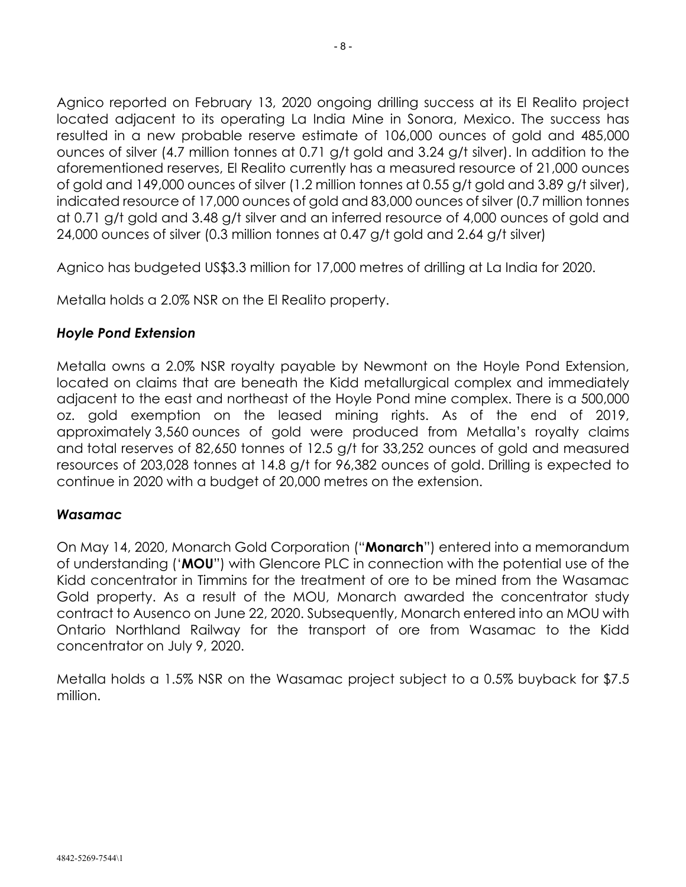Agnico reported on February 13, 2020 ongoing drilling success at its El Realito project located adjacent to its operating La India Mine in Sonora, Mexico. The success has resulted in a new probable reserve estimate of 106,000 ounces of gold and 485,000 ounces of silver (4.7 million tonnes at 0.71 g/t gold and 3.24 g/t silver). In addition to the aforementioned reserves, El Realito currently has a measured resource of 21,000 ounces of gold and 149,000 ounces of silver (1.2 million tonnes at 0.55 g/t gold and 3.89 g/t silver), indicated resource of 17,000 ounces of gold and 83,000 ounces of silver (0.7 million tonnes at 0.71 g/t gold and 3.48 g/t silver and an inferred resource of 4,000 ounces of gold and 24,000 ounces of silver (0.3 million tonnes at 0.47 g/t gold and 2.64 g/t silver)

Agnico has budgeted US\$3.3 million for 17,000 metres of drilling at La India for 2020.

Metalla holds a 2.0% NSR on the El Realito property.

## *Hoyle Pond Extension*

Metalla owns a 2.0% NSR royalty payable by Newmont on the Hoyle Pond Extension, located on claims that are beneath the Kidd metallurgical complex and immediately adjacent to the east and northeast of the Hoyle Pond mine complex. There is a 500,000 oz. gold exemption on the leased mining rights. As of the end of 2019, approximately 3,560 ounces of gold were produced from Metalla's royalty claims and total reserves of 82,650 tonnes of 12.5 g/t for 33,252 ounces of gold and measured resources of 203,028 tonnes at 14.8 g/t for 96,382 ounces of gold. Drilling is expected to continue in 2020 with a budget of 20,000 metres on the extension.

### *Wasamac*

On May 14, 2020, Monarch Gold Corporation ("**Monarch**") entered into a memorandum of understanding ('**MOU**") with Glencore PLC in connection with the potential use of the Kidd concentrator in Timmins for the treatment of ore to be mined from the Wasamac Gold property. As a result of the MOU, Monarch awarded the concentrator study contract to Ausenco on June 22, 2020. Subsequently, Monarch entered into an MOU with Ontario Northland Railway for the transport of ore from Wasamac to the Kidd concentrator on July 9, 2020.

Metalla holds a 1.5% NSR on the Wasamac project subject to a 0.5% buyback for \$7.5 million.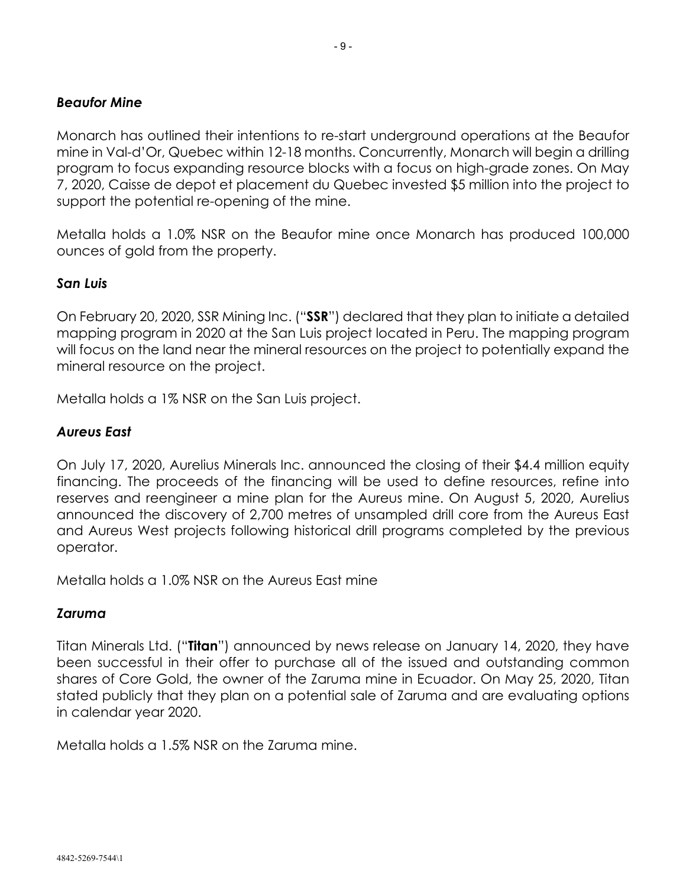## *Beaufor Mine*

Monarch has outlined their intentions to re-start underground operations at the Beaufor mine in Val-d'Or, Quebec within 12-18 months. Concurrently, Monarch will begin a drilling program to focus expanding resource blocks with a focus on high-grade zones. On May 7, 2020, Caisse de depot et placement du Quebec invested \$5 million into the project to support the potential re-opening of the mine.

Metalla holds a 1.0% NSR on the Beaufor mine once Monarch has produced 100,000 ounces of gold from the property.

## *San Luis*

On February 20, 2020, SSR Mining Inc. ("**SSR**") declared that they plan to initiate a detailed mapping program in 2020 at the San Luis project located in Peru. The mapping program will focus on the land near the mineral resources on the project to potentially expand the mineral resource on the project.

Metalla holds a 1% NSR on the San Luis project.

## *Aureus East*

On July 17, 2020, Aurelius Minerals Inc. announced the closing of their \$4.4 million equity financing. The proceeds of the financing will be used to define resources, refine into reserves and reengineer a mine plan for the Aureus mine. On August 5, 2020, Aurelius announced the discovery of 2,700 metres of unsampled drill core from the Aureus East and Aureus West projects following historical drill programs completed by the previous operator.

Metalla holds a 1.0% NSR on the Aureus East mine

## *Zaruma*

Titan Minerals Ltd. ("**Titan**") announced by news release on January 14, 2020, they have been successful in their offer to purchase all of the issued and outstanding common shares of Core Gold, the owner of the Zaruma mine in Ecuador. On May 25, 2020, Titan stated publicly that they plan on a potential sale of Zaruma and are evaluating options in calendar year 2020.

Metalla holds a 1.5% NSR on the Zaruma mine.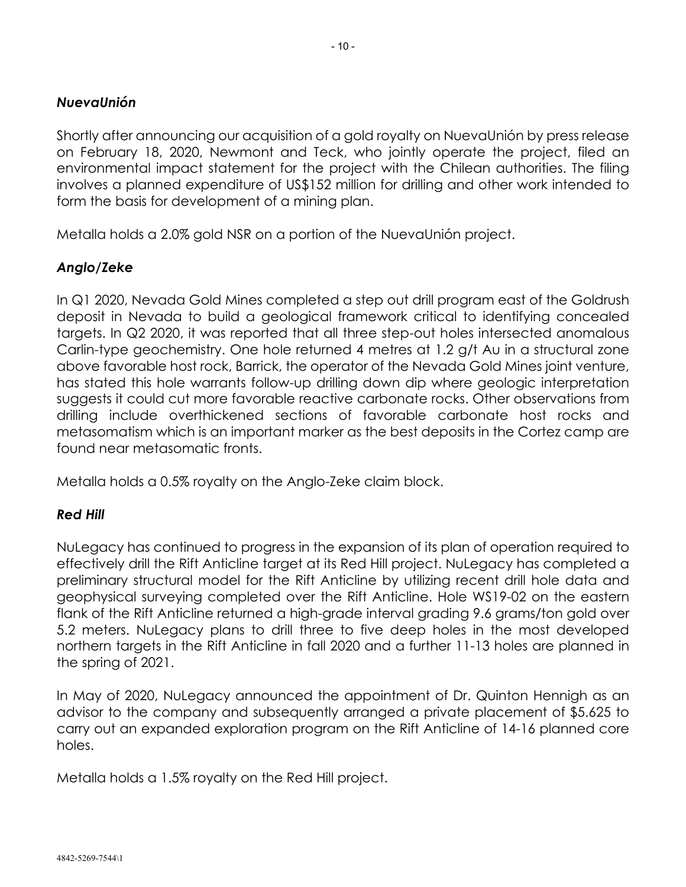Shortly after announcing our acquisition of a gold royalty on NuevaUnión by press release on February 18, 2020, Newmont and Teck, who jointly operate the project, filed an environmental impact statement for the project with the Chilean authorities. The filing involves a planned expenditure of US\$152 million for drilling and other work intended to form the basis for development of a mining plan.

Metalla holds a 2.0% gold NSR on a portion of the NuevaUnión project.

## *Anglo/Zeke*

In Q1 2020, Nevada Gold Mines completed a step out drill program east of the Goldrush deposit in Nevada to build a geological framework critical to identifying concealed targets. In Q2 2020, it was reported that all three step-out holes intersected anomalous Carlin-type geochemistry. One hole returned 4 metres at 1.2 g/t Au in a structural zone above favorable host rock, Barrick, the operator of the Nevada Gold Mines joint venture, has stated this hole warrants follow-up drilling down dip where geologic interpretation suggests it could cut more favorable reactive carbonate rocks. Other observations from drilling include overthickened sections of favorable carbonate host rocks and metasomatism which is an important marker as the best deposits in the Cortez camp are found near metasomatic fronts.

Metalla holds a 0.5% royalty on the Anglo-Zeke claim block.

## *Red Hill*

NuLegacy has continued to progress in the expansion of its plan of operation required to effectively drill the Rift Anticline target at its Red Hill project. NuLegacy has completed a preliminary structural model for the Rift Anticline by utilizing recent drill hole data and geophysical surveying completed over the Rift Anticline. Hole WS19-02 on the eastern flank of the Rift Anticline returned a high-grade interval grading 9.6 grams/ton gold over 5.2 meters. NuLegacy plans to drill three to five deep holes in the most developed northern targets in the Rift Anticline in fall 2020 and a further 11-13 holes are planned in the spring of 2021.

In May of 2020, NuLegacy announced the appointment of Dr. Quinton Hennigh as an advisor to the company and subsequently arranged a private placement of \$5.625 to carry out an expanded exploration program on the Rift Anticline of 14-16 planned core holes.

Metalla holds a 1.5% royalty on the Red Hill project.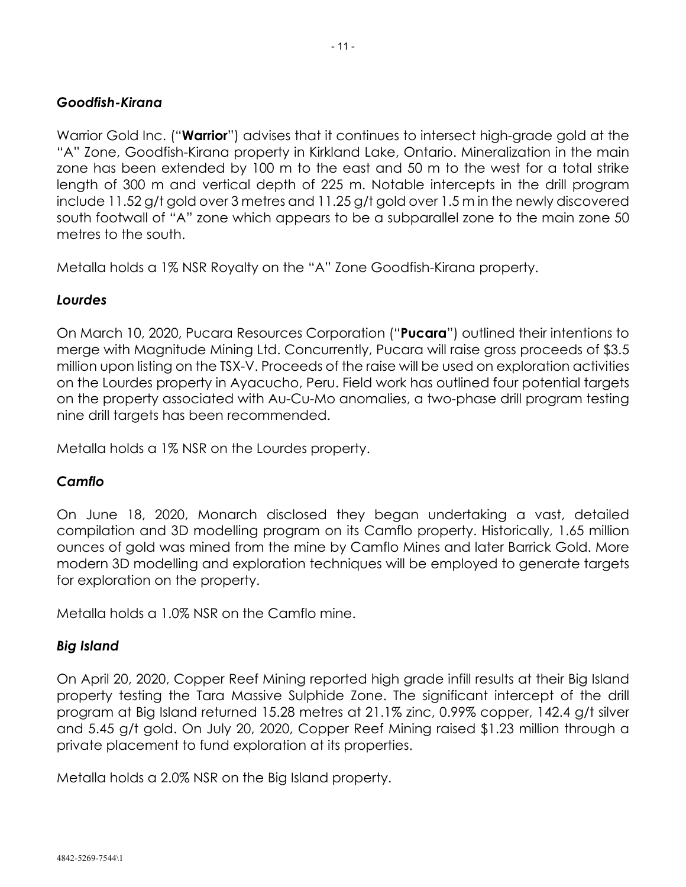## *Goodfish-Kirana*

Warrior Gold Inc. ("**Warrior**") advises that it continues to intersect high-grade gold at the "A" Zone, Goodfish-Kirana property in Kirkland Lake, Ontario. Mineralization in the main zone has been extended by 100 m to the east and 50 m to the west for a total strike length of 300 m and vertical depth of 225 m. Notable intercepts in the drill program include 11.52 g/t gold over 3 metres and 11.25 g/t gold over 1.5 m in the newly discovered south footwall of "A" zone which appears to be a subparallel zone to the main zone 50 metres to the south.

Metalla holds a 1% NSR Royalty on the "A" Zone Goodfish-Kirana property.

## *Lourdes*

On March 10, 2020, Pucara Resources Corporation ("**Pucara**") outlined their intentions to merge with Magnitude Mining Ltd. Concurrently, Pucara will raise gross proceeds of \$3.5 million upon listing on the TSX-V. Proceeds of the raise will be used on exploration activities on the Lourdes property in Ayacucho, Peru. Field work has outlined four potential targets on the property associated with Au-Cu-Mo anomalies, a two-phase drill program testing nine drill targets has been recommended.

Metalla holds a 1% NSR on the Lourdes property.

## *Camflo*

On June 18, 2020, Monarch disclosed they began undertaking a vast, detailed compilation and 3D modelling program on its Camflo property. Historically, 1.65 million ounces of gold was mined from the mine by Camflo Mines and later Barrick Gold. More modern 3D modelling and exploration techniques will be employed to generate targets for exploration on the property.

Metalla holds a 1.0% NSR on the Camflo mine.

### *Big Island*

On April 20, 2020, Copper Reef Mining reported high grade infill results at their Big Island property testing the Tara Massive Sulphide Zone. The significant intercept of the drill program at Big Island returned 15.28 metres at 21.1% zinc, 0.99% copper, 142.4 g/t silver and 5.45 g/t gold. On July 20, 2020, Copper Reef Mining raised \$1.23 million through a private placement to fund exploration at its properties.

Metalla holds a 2.0% NSR on the Big Island property.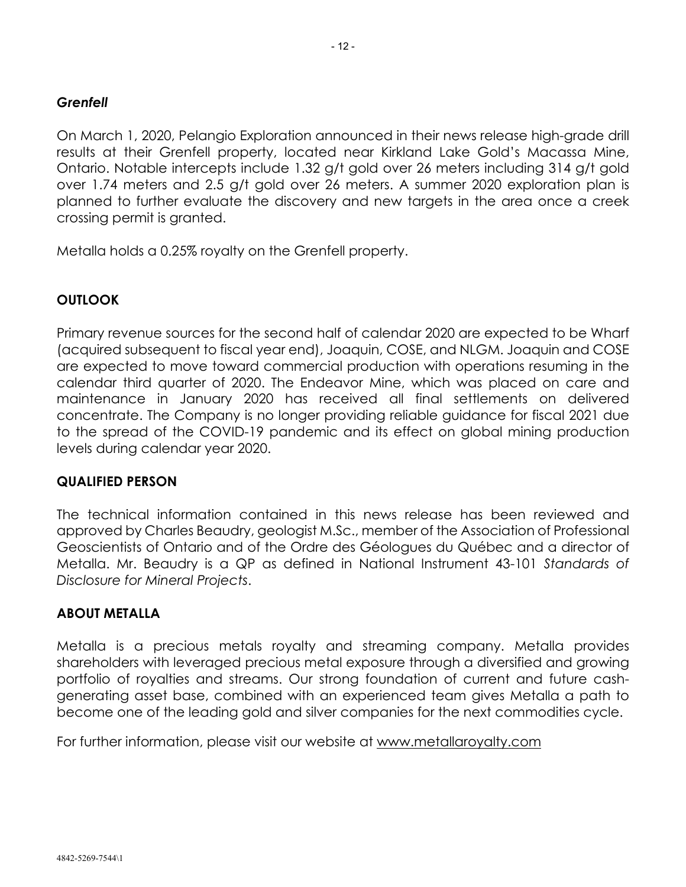## *Grenfell*

On March 1, 2020, Pelangio Exploration announced in their news release high-grade drill results at their Grenfell property, located near Kirkland Lake Gold's Macassa Mine, Ontario. Notable intercepts include 1.32 g/t gold over 26 meters including 314 g/t gold over 1.74 meters and 2.5 g/t gold over 26 meters. A summer 2020 exploration plan is planned to further evaluate the discovery and new targets in the area once a creek crossing permit is granted.

Metalla holds a 0.25% royalty on the Grenfell property.

## **OUTLOOK**

Primary revenue sources for the second half of calendar 2020 are expected to be Wharf (acquired subsequent to fiscal year end), Joaquin, COSE, and NLGM. Joaquin and COSE are expected to move toward commercial production with operations resuming in the calendar third quarter of 2020. The Endeavor Mine, which was placed on care and maintenance in January 2020 has received all final settlements on delivered concentrate. The Company is no longer providing reliable guidance for fiscal 2021 due to the spread of the COVID-19 pandemic and its effect on global mining production levels during calendar year 2020.

### **QUALIFIED PERSON**

The technical information contained in this news release has been reviewed and approved by Charles Beaudry, geologist M.Sc., member of the Association of Professional Geoscientists of Ontario and of the Ordre des Géologues du Québec and a director of Metalla. Mr. Beaudry is a QP as defined in National Instrument 43-101 *Standards of Disclosure for Mineral Projects*.

### **ABOUT METALLA**

Metalla is a precious metals royalty and streaming company. Metalla provides shareholders with leveraged precious metal exposure through a diversified and growing portfolio of royalties and streams. Our strong foundation of current and future cashgenerating asset base, combined with an experienced team gives Metalla a path to become one of the leading gold and silver companies for the next commodities cycle.

For further information, please visit our website at www.metallaroyalty.com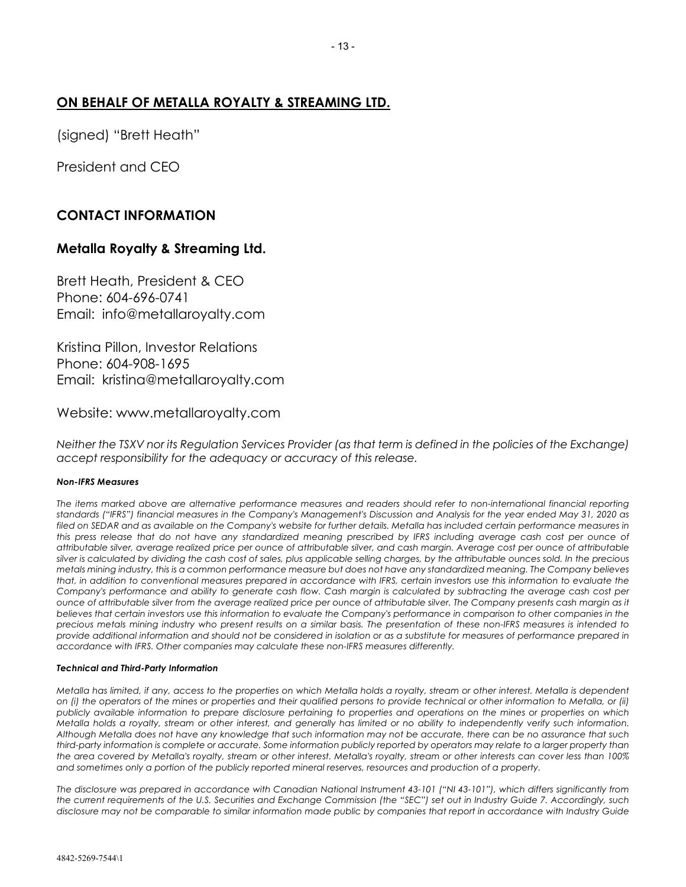### **ON BEHALF OF METALLA ROYALTY & STREAMING LTD.**

(signed) "Brett Heath"

President and CEO

## **CONTACT INFORMATION**

#### **Metalla Royalty & Streaming Ltd.**

Brett Heath, President & CEO Phone: 604-696-0741 Email: info@metallaroyalty.com

Kristina Pillon, Investor Relations Phone: 604-908-1695 Email: kristina@metallaroyalty.com

Website: www.metallaroyalty.com

*Neither the TSXV nor its Regulation Services Provider (as that term is defined in the policies of the Exchange) accept responsibility for the adequacy or accuracy of this release.*

#### *Non-IFRS Measures*

*The items marked above are alternative performance measures and readers should refer to non-international financial reporting standards ("IFRS") financial measures in the Company's Management's Discussion and Analysis for the year ended May 31, 2020 as* filed on SEDAR and as available on the Company's website for further details. Metalla has included certain performance measures in *this press release that do not have any standardized meaning prescribed by IFRS including average cash cost per ounce of attributable silver, average realized price per ounce of attributable silver, and cash margin. Average cost per ounce of attributable*  silver is calculated by dividing the cash cost of sales, plus applicable selling charges, by the attributable ounces sold. In the precious *metals mining industry, this is a common performance measure but does not have any standardized meaning. The Company believes that, in addition to conventional measures prepared in accordance with IFRS, certain investors use this information to evaluate the Company's performance and ability to generate cash flow. Cash margin is calculated by subtracting the average cash cost per ounce of attributable silver from the average realized price per ounce of attributable silver. The Company presents cash margin as it believes that certain investors use this information to evaluate the Company's performance in comparison to other companies in the precious metals mining industry who present results on a similar basis. The presentation of these non-IFRS measures is intended to provide additional information and should not be considered in isolation or as a substitute for measures of performance prepared in accordance with IFRS. Other companies may calculate these non-IFRS measures differently.*

#### *Technical and Third-Party Information*

*Metalla has limited, if any, access to the properties on which Metalla holds a royalty, stream or other interest. Metalla is dependent on (i) the operators of the mines or properties and their qualified persons to provide technical or other information to Metalla, or (ii) publicly available information to prepare disclosure pertaining to properties and operations on the mines or properties on which Metalla holds a royalty, stream or other interest, and generally has limited or no ability to independently verify such information. Although Metalla does not have any knowledge that such information may not be accurate, there can be no assurance that such third-party information is complete or accurate. Some information publicly reported by operators may relate to a larger property than the area covered by Metalla's royalty, stream or other interest. Metalla's royalty, stream or other interests can cover less than 100% and sometimes only a portion of the publicly reported mineral reserves, resources and production of a property.*

*The disclosure was prepared in accordance with Canadian National Instrument 43-101 ("NI 43-101"), which differs significantly from the current requirements of the U.S. Securities and Exchange Commission (the "SEC") set out in Industry Guide 7. Accordingly, such disclosure may not be comparable to similar information made public by companies that report in accordance with Industry Guide*